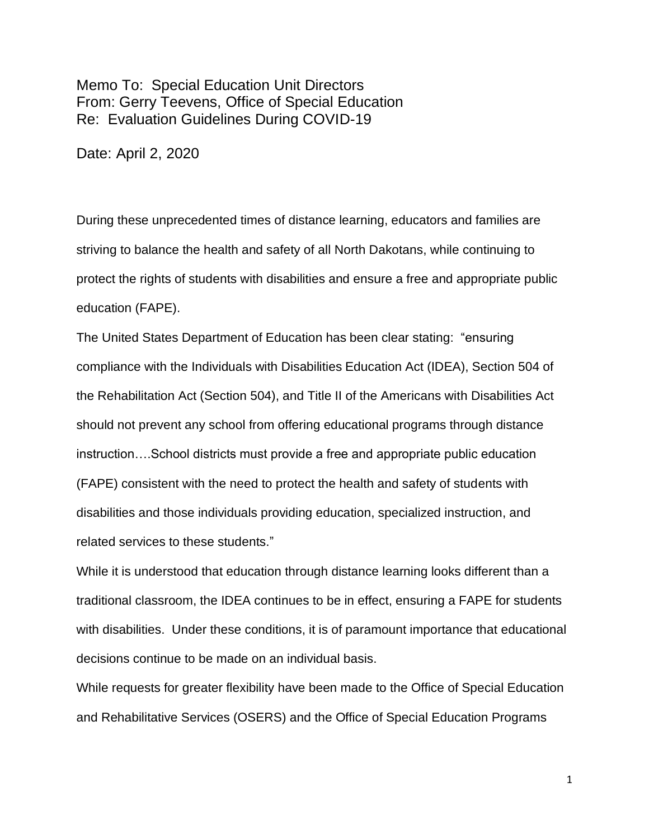Memo To: Special Education Unit Directors From: Gerry Teevens, Office of Special Education Re: Evaluation Guidelines During COVID-19

Date: April 2, 2020

During these unprecedented times of distance learning, educators and families are striving to balance the health and safety of all North Dakotans, while continuing to protect the rights of students with disabilities and ensure a free and appropriate public education (FAPE).

The United States Department of Education has been clear stating: "ensuring compliance with the Individuals with Disabilities Education Act (IDEA), Section 504 of the Rehabilitation Act (Section 504), and Title II of the Americans with Disabilities Act should not prevent any school from offering educational programs through distance instruction….School districts must provide a free and appropriate public education (FAPE) consistent with the need to protect the health and safety of students with disabilities and those individuals providing education, specialized instruction, and related services to these students."

While it is understood that education through distance learning looks different than a traditional classroom, the IDEA continues to be in effect, ensuring a FAPE for students with disabilities. Under these conditions, it is of paramount importance that educational decisions continue to be made on an individual basis.

While requests for greater flexibility have been made to the Office of Special Education and Rehabilitative Services (OSERS) and the Office of Special Education Programs

1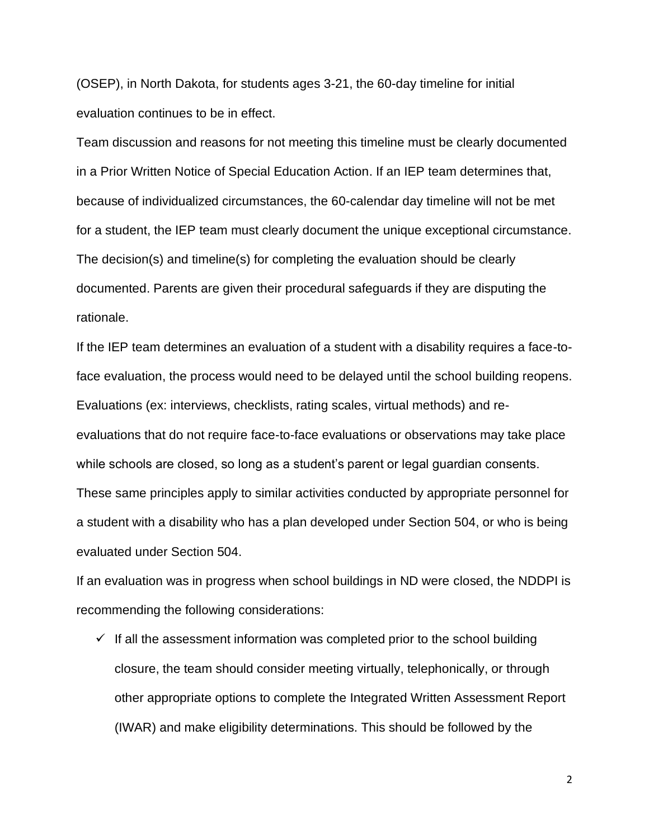(OSEP), in North Dakota, for students ages 3-21, the 60-day timeline for initial evaluation continues to be in effect.

Team discussion and reasons for not meeting this timeline must be clearly documented in a Prior Written Notice of Special Education Action. If an IEP team determines that, because of individualized circumstances, the 60-calendar day timeline will not be met for a student, the IEP team must clearly document the unique exceptional circumstance. The decision(s) and timeline(s) for completing the evaluation should be clearly documented. Parents are given their procedural safeguards if they are disputing the rationale.

If the IEP team determines an evaluation of a student with a disability requires a face-toface evaluation, the process would need to be delayed until the school building reopens. Evaluations (ex: interviews, checklists, rating scales, virtual methods) and reevaluations that do not require face-to-face evaluations or observations may take place while schools are closed, so long as a student's parent or legal guardian consents. These same principles apply to similar activities conducted by appropriate personnel for a student with a disability who has a plan developed under Section 504, or who is being evaluated under Section 504.

If an evaluation was in progress when school buildings in ND were closed, the NDDPI is recommending the following considerations:

 $\checkmark$  If all the assessment information was completed prior to the school building closure, the team should consider meeting virtually, telephonically, or through other appropriate options to complete the Integrated Written Assessment Report (IWAR) and make eligibility determinations. This should be followed by the

2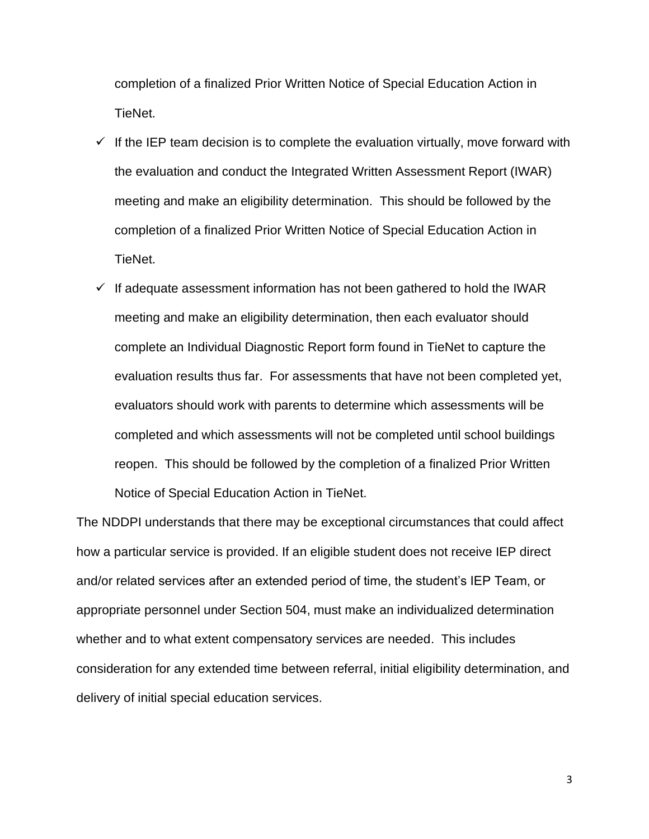completion of a finalized Prior Written Notice of Special Education Action in TieNet.

- $\checkmark$  If the IEP team decision is to complete the evaluation virtually, move forward with the evaluation and conduct the Integrated Written Assessment Report (IWAR) meeting and make an eligibility determination. This should be followed by the completion of a finalized Prior Written Notice of Special Education Action in TieNet.
- $\checkmark$  If adequate assessment information has not been gathered to hold the IWAR meeting and make an eligibility determination, then each evaluator should complete an Individual Diagnostic Report form found in TieNet to capture the evaluation results thus far. For assessments that have not been completed yet, evaluators should work with parents to determine which assessments will be completed and which assessments will not be completed until school buildings reopen. This should be followed by the completion of a finalized Prior Written Notice of Special Education Action in TieNet.

The NDDPI understands that there may be exceptional circumstances that could affect how a particular service is provided. If an eligible student does not receive IEP direct and/or related services after an extended period of time, the student's IEP Team, or appropriate personnel under Section 504, must make an individualized determination whether and to what extent compensatory services are needed. This includes consideration for any extended time between referral, initial eligibility determination, and delivery of initial special education services.